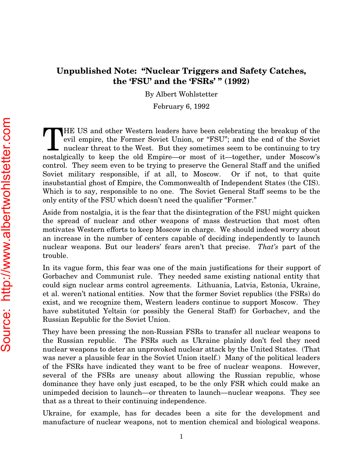## Unpublished Note: "Nuclear Triggers and Safety Catches, the 'FSU' and the 'FSRs' " (1992)

By Albert Wohlstetter

February 6, 1992

HE US and other Western leaders have been celebrating the breakup of the evil empire, the Former Soviet Union, or "FSU"; and the end of the Soviet nuclear threat to the West. But they sometimes seem to be continuing to try HE US and other Western leaders have been celebrating the breakup of the evil empire, the Former Soviet Union, or "FSU"; and the end of the Soviet nuclear threat to the West. But they sometimes seem to be continuing to try control. They seem even to be trying to preserve the General Staff and the unified Soviet military responsible, if at all, to Moscow. Or if not, to that quite insubstantial ghost of Empire, the Commonwealth of Independent States (the CIS). Which is to say, responsible to no one. The Soviet General Staff seems to be the only entity of the FSU which doesn't need the qualifier "Former."

Aside from nostalgia, it is the fear that the disintegration of the FSU might quicken the spread of nuclear and other weapons of mass destruction that most often motivates Western efforts to keep Moscow in charge. We should indeed worry about an increase in the number of centers capable of deciding independently to launch nuclear weapons. But our leaders' fears aren't that precise. *That's* part of the trouble.

In its vague form, this fear was one of the main justifications for their support of Gorbachev and Communist rule. They needed same existing national entity that could sign nuclear arms control agreements. Lithuania, Latvia, Estonia, Ukraine, et al. weren't national entities. Now that the former Soviet republics (the FSRs) do exist, and we recognize them, Western leaders continue to support Moscow. They have substituted Yeltsin (or possibly the General Staff) for Gorbachev, and the Russian Republic for the Soviet Union.

They have been pressing the non-Russian FSRs to transfer all nuclear weapons to the Russian republic. The FSRs such as Ukraine plainly don't feel they need nuclear weapons to deter an unprovoked nuclear attack by the United States. (That was never a plausible fear in the Soviet Union itself.) Many of the political leaders of the FSRs have indicated they want to be free of nuclear weapons. However, several of the FSRs are uneasy about allowing the Russian republic, whose dominance they have only just escaped, to be the only FSR which could make an unimpeded decision to launch—or threaten to launch—nuclear weapons. They see that as a threat to their continuing independence.

Ukraine, for example, has for decades been a site for the development and manufacture of nuclear weapons, not to mention chemical and biological weapons.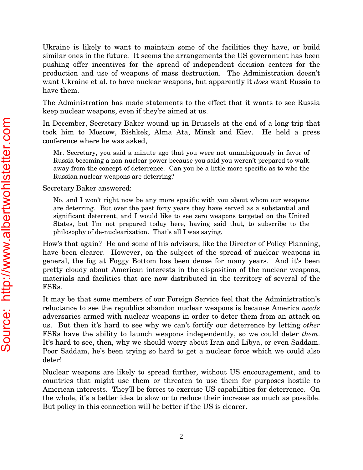Ukraine is likely to want to maintain some of the facilities they have, or build similar ones in the future. It seems the arrangements the US government has been pushing offer incentives for the spread of independent decision centers for the production and use of weapons of mass destruction. The Administration doesn't want Ukraine et al. to have nuclear weapons, but apparently it *does* want Russia to have them.

The Administration has made statements to the effect that it wants to see Russia keep nuclear weapons, even if they're aimed at us.

In December, Secretary Baker wound up in Brussels at the end of a long trip that took him to Moscow, Bishkek, Alma Ata, Minsk and Kiev. He held a press conference where he was asked,

Mr. Secretary, you said a minute ago that you were not unambiguously in favor of Russia becoming a non-nuclear power because you said you weren't prepared to walk away from the concept of deterrence. Can you be a little more specific as to who the Russian nuclear weapons are deterring?

Secretary Baker answered:

No, and I won't right now be any more specific with you about whom our weapons are deterring. But over the past forty years they have served as a substantial and significant deterrent, and I would like to see zero weapons targeted on the United States, but I'm not prepared today here, having said that, to subscribe to the philosophy of de-nuclearization. That's all I was saying.

How's that again? He and some of his advisors, like the Director of Policy Planning, have been clearer. However, on the subject of the spread of nuclear weapons in general, the fog at Foggy Bottom has been dense for many years. And it's been pretty cloudy about American interests in the disposition of the nuclear weapons, materials and facilities that are now distributed in the territory of several of the FSRs.

It may be that some members of our Foreign Service feel that the Administration's reluctance to see the republics abandon nuclear weapons is because America *needs* adversaries armed with nuclear weapons in order to deter them from an attack on us. But then it's hard to see why we can't fortify our deterrence by letting *other* FSRs have the ability to launch weapons independently, so we could deter *them*. It's hard to see, then, why we should worry about Iran and Libya, or even Saddam. Poor Saddam, he's been trying so hard to get a nuclear force which we could also deter!

Nuclear weapons are likely to spread further, without US encouragement, and to countries that might use them or threaten to use them for purposes hostile to American interests. They'll be forces to exercise US capabilities for deterrence. On the whole, it's a better idea to slow or to reduce their increase as much as possible. But policy in this connection will be better if the US is clearer.